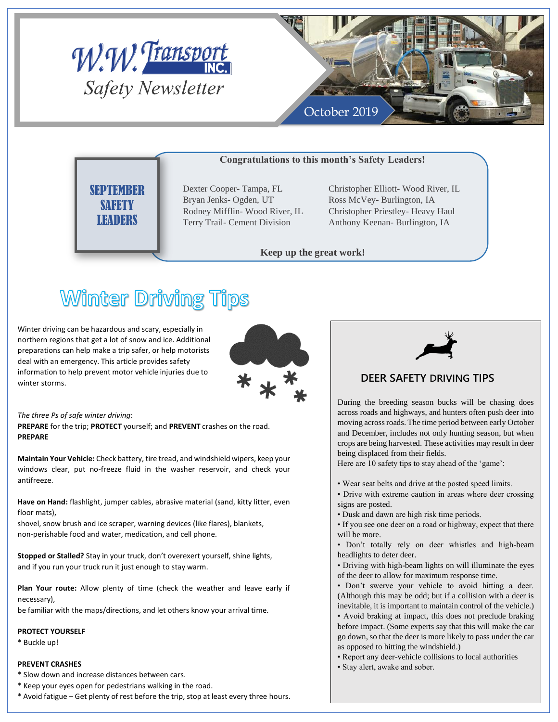



### **Congratulations to this month's Safety Leaders!**

**SEPTEMBER SAFETY LEADERS** 

Dexter Cooper- Tampa, FL Bryan Jenks- Ogden, UT Rodney Mifflin- Wood River, IL Terry Trail- Cement Division

Christopher Elliott- Wood River, IL Ross McVey- Burlington, IA Christopher Priestley- Heavy Haul Anthony Keenan- Burlington, IA

**Keep up the great work!**

# **Winter Driving Tips**

Winter driving can be hazardous and scary, especially in northern regions that get a lot of snow and ice. Additional preparations can help make a trip safer, or help motorists deal with an emergency. This article provides safety information to help prevent motor vehicle injuries due to winter storms.



*The three Ps of safe winter driving*:

**PREPARE** for the trip; **PROTECT** yourself; and **PREVENT** crashes on the road. **PREPARE** 

**Maintain Your Vehicle:** Check battery, tire tread, and windshield wipers, keep your windows clear, put no-freeze fluid in the washer reservoir, and check your antifreeze.

**Have on Hand:** flashlight, jumper cables, abrasive material (sand, kitty litter, even floor mats),

shovel, snow brush and ice scraper, warning devices (like flares), blankets, non-perishable food and water, medication, and cell phone.

**Stopped or Stalled?** Stay in your truck, don't overexert yourself, shine lights, and if you run your truck run it just enough to stay warm.

**Plan Your route:** Allow plenty of time (check the weather and leave early if necessary),

be familiar with the maps/directions, and let others know your arrival time.

#### **PROTECT YOURSELF**

\* Buckle up!

#### **PREVENT CRASHES**

- \* Slow down and increase distances between cars.
- \* Keep your eyes open for pedestrians walking in the road.
- \* Avoid fatigue Get plenty of rest before the trip, stop at least every three hours.



### **DEER SAFETY DRIVING TIPS**

During the breeding season bucks will be chasing does across roads and highways, and hunters often push deer into moving across roads. The time period between early October and December, includes not only hunting season, but when crops are being harvested. These activities may result in deer being displaced from their fields.

Here are 10 safety tips to stay ahead of the 'game':

- Wear seat belts and drive at the posted speed limits.
- Drive with extreme caution in areas where deer crossing signs are posted.
- Dusk and dawn are high risk time periods.
- If you see one deer on a road or highway, expect that there will be more.

• Don't totally rely on deer whistles and high-beam headlights to deter deer.

• Driving with high-beam lights on will illuminate the eyes of the deer to allow for maximum response time.

• Don't swerve your vehicle to avoid hitting a deer. (Although this may be odd; but if a collision with a deer is inevitable, it is important to maintain control of the vehicle.)

• Avoid braking at impact, this does not preclude braking before impact. (Some experts say that this will make the car go down, so that the deer is more likely to pass under the car as opposed to hitting the windshield.)

• Report any deer-vehicle collisions to local authorities

• Stay alert, awake and sober.